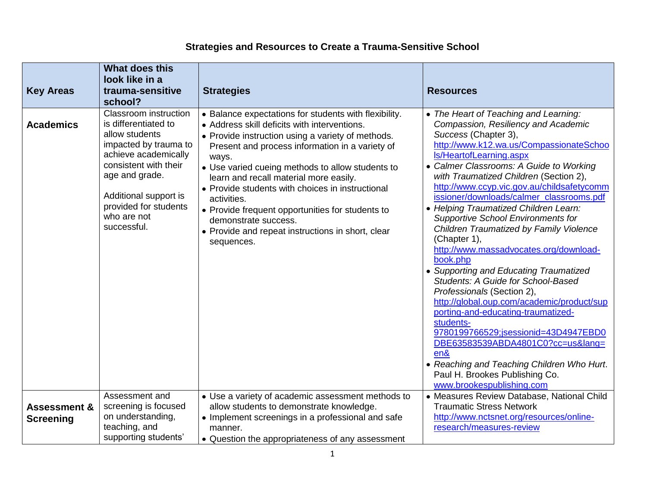## **Strategies and Resources to Create a Trauma-Sensitive School**

| <b>Key Areas</b>                            | <b>What does this</b><br>look like in a<br>trauma-sensitive<br>school?                                                                                                                                                                             | <b>Strategies</b>                                                                                                                                                                                                                                                                                                                                                                                                                                                                                                                      | <b>Resources</b>                                                                                                                                                                                                                                                                                                                                                                                                                                                                                                                                                                                                                                                                                                                                                                                                                                                                                                                                                             |
|---------------------------------------------|----------------------------------------------------------------------------------------------------------------------------------------------------------------------------------------------------------------------------------------------------|----------------------------------------------------------------------------------------------------------------------------------------------------------------------------------------------------------------------------------------------------------------------------------------------------------------------------------------------------------------------------------------------------------------------------------------------------------------------------------------------------------------------------------------|------------------------------------------------------------------------------------------------------------------------------------------------------------------------------------------------------------------------------------------------------------------------------------------------------------------------------------------------------------------------------------------------------------------------------------------------------------------------------------------------------------------------------------------------------------------------------------------------------------------------------------------------------------------------------------------------------------------------------------------------------------------------------------------------------------------------------------------------------------------------------------------------------------------------------------------------------------------------------|
| <b>Academics</b>                            | <b>Classroom</b> instruction<br>is differentiated to<br>allow students<br>impacted by trauma to<br>achieve academically<br>consistent with their<br>age and grade.<br>Additional support is<br>provided for students<br>who are not<br>successful. | • Balance expectations for students with flexibility.<br>• Address skill deficits with interventions.<br>• Provide instruction using a variety of methods.<br>Present and process information in a variety of<br>ways.<br>• Use varied cueing methods to allow students to<br>learn and recall material more easily.<br>• Provide students with choices in instructional<br>activities.<br>• Provide frequent opportunities for students to<br>demonstrate success.<br>• Provide and repeat instructions in short, clear<br>sequences. | • The Heart of Teaching and Learning:<br>Compassion, Resiliency and Academic<br>Success (Chapter 3),<br>http://www.k12.wa.us/CompassionateSchoo<br>Is/HeartofLearning.aspx<br>• Calmer Classrooms: A Guide to Working<br>with Traumatized Children (Section 2),<br>http://www.ccyp.vic.gov.au/childsafetycomm<br>issioner/downloads/calmer_classrooms.pdf<br>• Helping Traumatized Children Learn:<br><b>Supportive School Environments for</b><br>Children Traumatized by Family Violence<br>(Chapter 1),<br>http://www.massadvocates.org/download-<br>book.php<br>• Supporting and Educating Traumatized<br>Students: A Guide for School-Based<br>Professionals (Section 2),<br>http://global.oup.com/academic/product/sup<br>porting-and-educating-traumatized-<br>students-<br>9780199766529;jsessionid=43D4947EBD0<br>DBE63583539ABDA4801C0?cc=us⟨=<br>en&<br>• Reaching and Teaching Children Who Hurt.<br>Paul H. Brookes Publishing Co.<br>www.brookespublishing.com |
| <b>Assessment &amp;</b><br><b>Screening</b> | Assessment and<br>screening is focused<br>on understanding,<br>teaching, and<br>supporting students'                                                                                                                                               | • Use a variety of academic assessment methods to<br>allow students to demonstrate knowledge.<br>• Implement screenings in a professional and safe<br>manner.<br>• Question the appropriateness of any assessment                                                                                                                                                                                                                                                                                                                      | • Measures Review Database, National Child<br><b>Traumatic Stress Network</b><br>http://www.nctsnet.org/resources/online-<br>research/measures-review                                                                                                                                                                                                                                                                                                                                                                                                                                                                                                                                                                                                                                                                                                                                                                                                                        |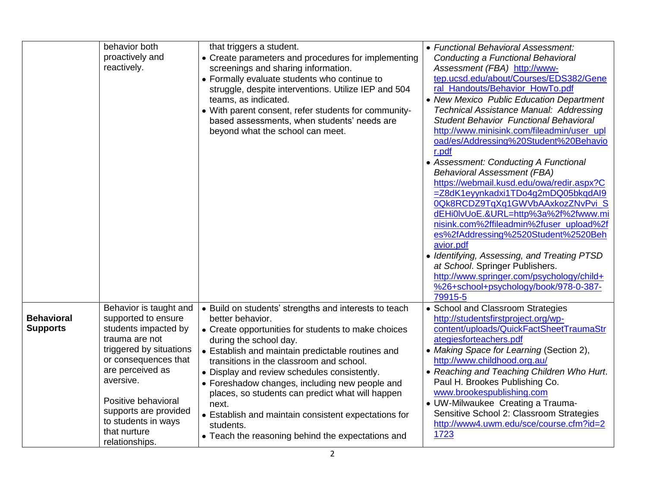|                                      | behavior both<br>proactively and<br>reactively.                                                                                                                                                                                                                                      | that triggers a student.<br>• Create parameters and procedures for implementing<br>screenings and sharing information.<br>• Formally evaluate students who continue to<br>struggle, despite interventions. Utilize IEP and 504<br>teams, as indicated.<br>• With parent consent, refer students for community-<br>based assessments, when students' needs are<br>beyond what the school can meet.                                                                                                                                                    | • Functional Behavioral Assessment:<br>Conducting a Functional Behavioral<br>Assessment (FBA) http://www-<br>tep.ucsd.edu/about/Courses/EDS382/Gene<br>ral_Handouts/Behavior_HowTo.pdf<br>• New Mexico Public Education Department<br>Technical Assistance Manual: Addressing<br><b>Student Behavior Functional Behavioral</b><br>http://www.minisink.com/fileadmin/user_upl<br>oad/es/Addressing%20Student%20Behavio<br>r.pdf<br>• Assessment: Conducting A Functional<br><b>Behavioral Assessment (FBA)</b><br>https://webmail.kusd.edu/owa/redir.aspx?C<br>=Z8dK1eyynkadxi1TDo4g2mDQ05bkqdAl9<br>0Qk8RCDZ9TqXq1GWVbAAxkozZNvPvi_S<br>dEHi0lvUoE.&URL=http%3a%2f%2fwww.mi<br>nisink.com%2ffileadmin%2fuser_upload%2f<br>es%2fAddressing%2520Student%2520Beh<br>avior.pdf<br>• Identifying, Assessing, and Treating PTSD<br>at School. Springer Publishers.<br>http://www.springer.com/psychology/child+<br>%26+school+psychology/book/978-0-387-<br>79915-5 |
|--------------------------------------|--------------------------------------------------------------------------------------------------------------------------------------------------------------------------------------------------------------------------------------------------------------------------------------|------------------------------------------------------------------------------------------------------------------------------------------------------------------------------------------------------------------------------------------------------------------------------------------------------------------------------------------------------------------------------------------------------------------------------------------------------------------------------------------------------------------------------------------------------|---------------------------------------------------------------------------------------------------------------------------------------------------------------------------------------------------------------------------------------------------------------------------------------------------------------------------------------------------------------------------------------------------------------------------------------------------------------------------------------------------------------------------------------------------------------------------------------------------------------------------------------------------------------------------------------------------------------------------------------------------------------------------------------------------------------------------------------------------------------------------------------------------------------------------------------------------------------|
| <b>Behavioral</b><br><b>Supports</b> | Behavior is taught and<br>supported to ensure<br>students impacted by<br>trauma are not<br>triggered by situations<br>or consequences that<br>are perceived as<br>aversive.<br>Positive behavioral<br>supports are provided<br>to students in ways<br>that nurture<br>relationships. | • Build on students' strengths and interests to teach<br>better behavior.<br>• Create opportunities for students to make choices<br>during the school day.<br>• Establish and maintain predictable routines and<br>transitions in the classroom and school.<br>• Display and review schedules consistently.<br>• Foreshadow changes, including new people and<br>places, so students can predict what will happen<br>next.<br>• Establish and maintain consistent expectations for<br>students.<br>• Teach the reasoning behind the expectations and | • School and Classroom Strategies<br>http://studentsfirstproject.org/wp-<br>content/uploads/QuickFactSheetTraumaStr<br>ategiesforteachers.pdf<br>• Making Space for Learning (Section 2),<br>http://www.childhood.org.au/<br>• Reaching and Teaching Children Who Hurt.<br>Paul H. Brookes Publishing Co.<br>www.brookespublishing.com<br>• UW-Milwaukee Creating a Trauma-<br>Sensitive School 2: Classroom Strategies<br>http://www4.uwm.edu/sce/course.cfm?id=2<br>1723                                                                                                                                                                                                                                                                                                                                                                                                                                                                                    |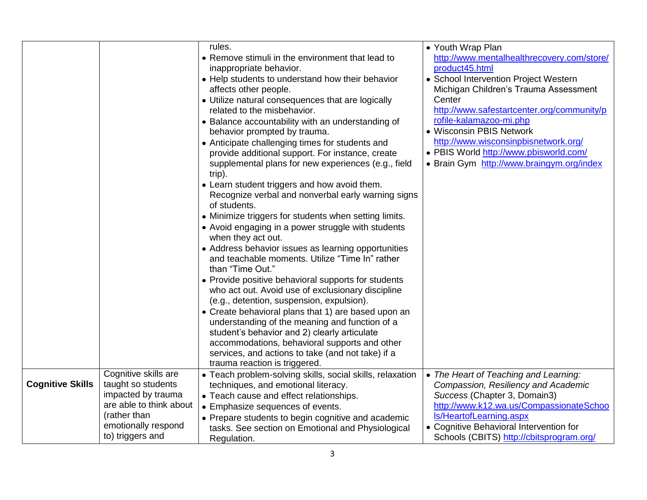|                         |                                                                                                             | rules.<br>• Remove stimuli in the environment that lead to<br>inappropriate behavior.<br>• Help students to understand how their behavior<br>affects other people.<br>• Utilize natural consequences that are logically<br>related to the misbehavior.<br>• Balance accountability with an understanding of<br>behavior prompted by trauma.<br>• Anticipate challenging times for students and<br>provide additional support. For instance, create<br>supplemental plans for new experiences (e.g., field<br>trip).<br>• Learn student triggers and how avoid them.<br>Recognize verbal and nonverbal early warning signs<br>of students.<br>• Minimize triggers for students when setting limits.<br>• Avoid engaging in a power struggle with students<br>when they act out.<br>• Address behavior issues as learning opportunities<br>and teachable moments. Utilize "Time In" rather<br>than "Time Out."<br>• Provide positive behavioral supports for students<br>who act out. Avoid use of exclusionary discipline<br>(e.g., detention, suspension, expulsion).<br>• Create behavioral plans that 1) are based upon an<br>understanding of the meaning and function of a<br>student's behavior and 2) clearly articulate<br>accommodations, behavioral supports and other<br>services, and actions to take (and not take) if a | • Youth Wrap Plan<br>http://www.mentalhealthrecovery.com/store/<br>product45.html<br>• School Intervention Project Western<br>Michigan Children's Trauma Assessment<br>Center<br>http://www.safestartcenter.org/community/p<br>rofile-kalamazoo-mi.php<br>• Wisconsin PBIS Network<br>http://www.wisconsinpbisnetwork.org/<br>· PBIS World http://www.pbisworld.com/<br>• Brain Gym http://www.braingym.org/index |
|-------------------------|-------------------------------------------------------------------------------------------------------------|--------------------------------------------------------------------------------------------------------------------------------------------------------------------------------------------------------------------------------------------------------------------------------------------------------------------------------------------------------------------------------------------------------------------------------------------------------------------------------------------------------------------------------------------------------------------------------------------------------------------------------------------------------------------------------------------------------------------------------------------------------------------------------------------------------------------------------------------------------------------------------------------------------------------------------------------------------------------------------------------------------------------------------------------------------------------------------------------------------------------------------------------------------------------------------------------------------------------------------------------------------------------------------------------------------------------------------------|-------------------------------------------------------------------------------------------------------------------------------------------------------------------------------------------------------------------------------------------------------------------------------------------------------------------------------------------------------------------------------------------------------------------|
|                         |                                                                                                             | trauma reaction is triggered.                                                                                                                                                                                                                                                                                                                                                                                                                                                                                                                                                                                                                                                                                                                                                                                                                                                                                                                                                                                                                                                                                                                                                                                                                                                                                                        |                                                                                                                                                                                                                                                                                                                                                                                                                   |
| <b>Cognitive Skills</b> | Cognitive skills are<br>taught so students<br>impacted by trauma<br>are able to think about<br>(rather than | • Teach problem-solving skills, social skills, relaxation<br>techniques, and emotional literacy.<br>• Teach cause and effect relationships.<br>• Emphasize sequences of events.<br>• Prepare students to begin cognitive and academic                                                                                                                                                                                                                                                                                                                                                                                                                                                                                                                                                                                                                                                                                                                                                                                                                                                                                                                                                                                                                                                                                                | • The Heart of Teaching and Learning:<br>Compassion, Resiliency and Academic<br>Success (Chapter 3, Domain3)<br>http://www.k12.wa.us/CompassionateSchoo<br>Is/HeartofLearning.aspx                                                                                                                                                                                                                                |
|                         | emotionally respond<br>to) triggers and                                                                     | tasks. See section on Emotional and Physiological<br>Regulation.                                                                                                                                                                                                                                                                                                                                                                                                                                                                                                                                                                                                                                                                                                                                                                                                                                                                                                                                                                                                                                                                                                                                                                                                                                                                     | • Cognitive Behavioral Intervention for<br>Schools (CBITS) http://cbitsprogram.org/                                                                                                                                                                                                                                                                                                                               |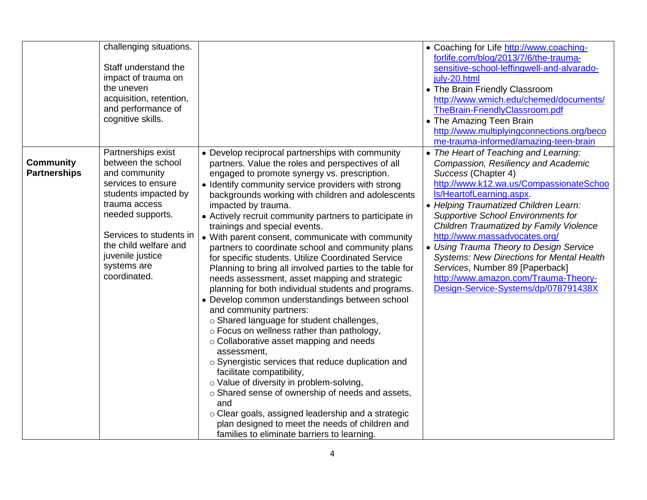| challenging situations.<br>Staff understand the<br>impact of trauma on<br>the uneven<br>acquisition, retention,<br>and performance of<br>cognitive skills.                                                                                                                                     |                                                                                                                                                                                                                                                                                                                                                                                                                                                                                                                                                                                                                                                                                                                                                                                                                                                                                                                                                                                                                                                                                                                                                                                                                                                                                                            | • Coaching for Life http://www.coaching-<br>forlife.com/blog/2013/7/6/the-trauma-<br>sensitive-school-leffingwell-and-alvarado-<br>july-20.html<br>• The Brain Friendly Classroom<br>http://www.wmich.edu/chemed/documents/<br>TheBrain-FriendlyClassroom.pdf<br>• The Amazing Teen Brain<br>http://www.multiplyingconnections.org/beco<br>me-trauma-informed/amazing-teen-brain                                                                                                                                                                               |
|------------------------------------------------------------------------------------------------------------------------------------------------------------------------------------------------------------------------------------------------------------------------------------------------|------------------------------------------------------------------------------------------------------------------------------------------------------------------------------------------------------------------------------------------------------------------------------------------------------------------------------------------------------------------------------------------------------------------------------------------------------------------------------------------------------------------------------------------------------------------------------------------------------------------------------------------------------------------------------------------------------------------------------------------------------------------------------------------------------------------------------------------------------------------------------------------------------------------------------------------------------------------------------------------------------------------------------------------------------------------------------------------------------------------------------------------------------------------------------------------------------------------------------------------------------------------------------------------------------------|----------------------------------------------------------------------------------------------------------------------------------------------------------------------------------------------------------------------------------------------------------------------------------------------------------------------------------------------------------------------------------------------------------------------------------------------------------------------------------------------------------------------------------------------------------------|
| Partnerships exist<br><b>Community</b><br>between the school<br><b>Partnerships</b><br>and community<br>services to ensure<br>students impacted by<br>trauma access<br>needed supports.<br>Services to students in<br>the child welfare and<br>juvenile justice<br>systems are<br>coordinated. | • Develop reciprocal partnerships with community<br>partners. Value the roles and perspectives of all<br>engaged to promote synergy vs. prescription.<br>• Identify community service providers with strong<br>backgrounds working with children and adolescents<br>impacted by trauma.<br>• Actively recruit community partners to participate in<br>trainings and special events.<br>• With parent consent, communicate with community<br>partners to coordinate school and community plans<br>for specific students. Utilize Coordinated Service<br>Planning to bring all involved parties to the table for<br>needs assessment, asset mapping and strategic<br>planning for both individual students and programs.<br>• Develop common understandings between school<br>and community partners:<br>o Shared language for student challenges,<br>o Focus on wellness rather than pathology,<br>o Collaborative asset mapping and needs<br>assessment,<br>o Synergistic services that reduce duplication and<br>facilitate compatibility,<br>o Value of diversity in problem-solving,<br>o Shared sense of ownership of needs and assets,<br>and<br>o Clear goals, assigned leadership and a strategic<br>plan designed to meet the needs of children and<br>families to eliminate barriers to learning. | • The Heart of Teaching and Learning:<br>Compassion, Resiliency and Academic<br>Success (Chapter 4)<br>http://www.k12.wa.us/CompassionateSchoo<br>Is/HeartofLearning.aspx.<br>• Helping Traumatized Children Learn:<br><b>Supportive School Environments for</b><br>Children Traumatized by Family Violence<br>http://www.massadvocates.org/<br>• Using Trauma Theory to Design Service<br><b>Systems: New Directions for Mental Health</b><br>Services, Number 89 [Paperback]<br>http://www.amazon.com/Trauma-Theory-<br>Design-Service-Systems/dp/078791438X |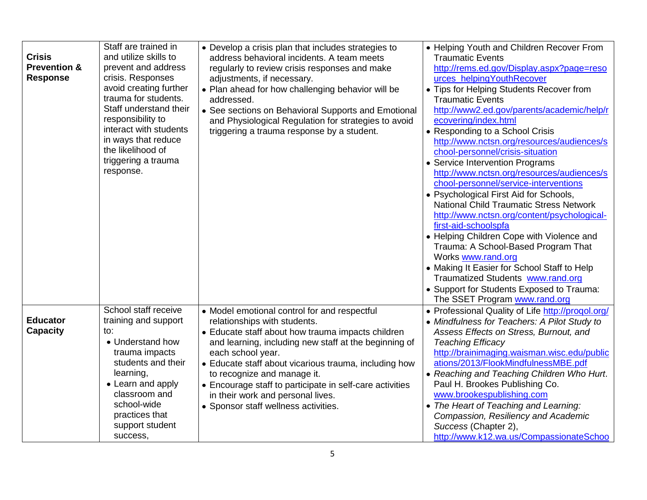| <b>Crisis</b><br><b>Prevention &amp;</b><br><b>Response</b> | Staff are trained in<br>and utilize skills to<br>prevent and address<br>crisis. Responses<br>avoid creating further<br>trauma for students.<br>Staff understand their<br>responsibility to<br>interact with students<br>in ways that reduce<br>the likelihood of<br>triggering a trauma<br>response. | • Develop a crisis plan that includes strategies to<br>address behavioral incidents. A team meets<br>regularly to review crisis responses and make<br>adjustments, if necessary.<br>• Plan ahead for how challenging behavior will be<br>addressed.<br>• See sections on Behavioral Supports and Emotional<br>and Physiological Regulation for strategies to avoid<br>triggering a trauma response by a student.                                 | • Helping Youth and Children Recover From<br><b>Traumatic Events</b><br>http://rems.ed.gov/Display.aspx?page=reso<br>urces_helpingYouthRecover<br>• Tips for Helping Students Recover from<br><b>Traumatic Events</b><br>http://www2.ed.gov/parents/academic/help/r<br>ecovering/index.html<br>• Responding to a School Crisis<br>http://www.nctsn.org/resources/audiences/s<br>chool-personnel/crisis-situation<br>• Service Intervention Programs<br>http://www.nctsn.org/resources/audiences/s<br>chool-personnel/service-interventions<br>• Psychological First Aid for Schools,<br><b>National Child Traumatic Stress Network</b><br>http://www.nctsn.org/content/psychological-<br>first-aid-schoolspfa<br>• Helping Children Cope with Violence and<br>Trauma: A School-Based Program That<br>Works www.rand.org<br>• Making It Easier for School Staff to Help<br>Traumatized Students www.rand.org<br>• Support for Students Exposed to Trauma:<br>The SSET Program www.rand.org |
|-------------------------------------------------------------|------------------------------------------------------------------------------------------------------------------------------------------------------------------------------------------------------------------------------------------------------------------------------------------------------|--------------------------------------------------------------------------------------------------------------------------------------------------------------------------------------------------------------------------------------------------------------------------------------------------------------------------------------------------------------------------------------------------------------------------------------------------|-------------------------------------------------------------------------------------------------------------------------------------------------------------------------------------------------------------------------------------------------------------------------------------------------------------------------------------------------------------------------------------------------------------------------------------------------------------------------------------------------------------------------------------------------------------------------------------------------------------------------------------------------------------------------------------------------------------------------------------------------------------------------------------------------------------------------------------------------------------------------------------------------------------------------------------------------------------------------------------------|
| <b>Educator</b><br><b>Capacity</b>                          | School staff receive<br>training and support<br>to:<br>• Understand how<br>trauma impacts<br>students and their<br>learning,<br>• Learn and apply<br>classroom and<br>school-wide<br>practices that<br>support student<br>success,                                                                   | • Model emotional control for and respectful<br>relationships with students.<br>• Educate staff about how trauma impacts children<br>and learning, including new staff at the beginning of<br>each school year.<br>• Educate staff about vicarious trauma, including how<br>to recognize and manage it.<br>• Encourage staff to participate in self-care activities<br>in their work and personal lives.<br>• Sponsor staff wellness activities. | • Professional Quality of Life http://progol.org/<br>• Mindfulness for Teachers: A Pilot Study to<br>Assess Effects on Stress, Burnout, and<br><b>Teaching Efficacy</b><br>http://brainimaging.waisman.wisc.edu/public<br>ations/2013/FlookMindfulnessMBE.pdf<br>• Reaching and Teaching Children Who Hurt.<br>Paul H. Brookes Publishing Co.<br>www.brookespublishing.com<br>• The Heart of Teaching and Learning:<br>Compassion, Resiliency and Academic<br>Success (Chapter 2),<br>http://www.k12.wa.us/CompassionateSchoo                                                                                                                                                                                                                                                                                                                                                                                                                                                             |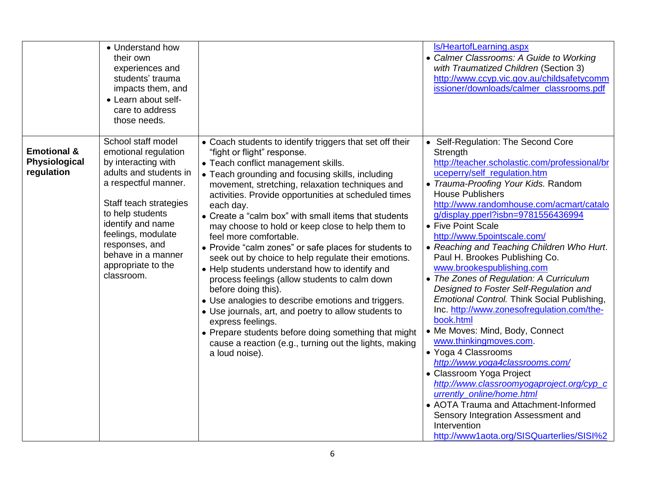|                                                       | • Understand how<br>their own<br>experiences and<br>students' trauma<br>impacts them, and<br>• Learn about self-<br>care to address<br>those needs.                                                                                                                                      |                                                                                                                                                                                                                                                                                                                                                                                                                                                                                                                                                                                                                                                                                                                                                                                                                                                                                                                                                                   | Is/HeartofLearning.aspx<br>• Calmer Classrooms: A Guide to Working<br>with Traumatized Children (Section 3)<br>http://www.ccyp.vic.gov.au/childsafetycomm<br>issioner/downloads/calmer classrooms.pdf                                                                                                                                                                                                                                                                                                                                                                                                                                                                                                                                                                                                                                                                                                                                                                                                                         |
|-------------------------------------------------------|------------------------------------------------------------------------------------------------------------------------------------------------------------------------------------------------------------------------------------------------------------------------------------------|-------------------------------------------------------------------------------------------------------------------------------------------------------------------------------------------------------------------------------------------------------------------------------------------------------------------------------------------------------------------------------------------------------------------------------------------------------------------------------------------------------------------------------------------------------------------------------------------------------------------------------------------------------------------------------------------------------------------------------------------------------------------------------------------------------------------------------------------------------------------------------------------------------------------------------------------------------------------|-------------------------------------------------------------------------------------------------------------------------------------------------------------------------------------------------------------------------------------------------------------------------------------------------------------------------------------------------------------------------------------------------------------------------------------------------------------------------------------------------------------------------------------------------------------------------------------------------------------------------------------------------------------------------------------------------------------------------------------------------------------------------------------------------------------------------------------------------------------------------------------------------------------------------------------------------------------------------------------------------------------------------------|
| <b>Emotional &amp;</b><br>Physiological<br>regulation | School staff model<br>emotional regulation<br>by interacting with<br>adults and students in<br>a respectful manner.<br>Staff teach strategies<br>to help students<br>identify and name<br>feelings, modulate<br>responses, and<br>behave in a manner<br>appropriate to the<br>classroom. | • Coach students to identify triggers that set off their<br>"fight or flight" response.<br>• Teach conflict management skills.<br>• Teach grounding and focusing skills, including<br>movement, stretching, relaxation techniques and<br>activities. Provide opportunities at scheduled times<br>each day.<br>• Create a "calm box" with small items that students<br>may choose to hold or keep close to help them to<br>feel more comfortable.<br>• Provide "calm zones" or safe places for students to<br>seek out by choice to help regulate their emotions.<br>• Help students understand how to identify and<br>process feelings (allow students to calm down<br>before doing this).<br>• Use analogies to describe emotions and triggers.<br>• Use journals, art, and poetry to allow students to<br>express feelings.<br>• Prepare students before doing something that might<br>cause a reaction (e.g., turning out the lights, making<br>a loud noise). | • Self-Regulation: The Second Core<br>Strength<br>http://teacher.scholastic.com/professional/br<br>uceperry/self_regulation.htm<br>• Trauma-Proofing Your Kids. Random<br><b>House Publishers</b><br>http://www.randomhouse.com/acmart/catalo<br>g/display.pperl?isbn=9781556436994<br>• Five Point Scale<br>http://www.5pointscale.com/<br>• Reaching and Teaching Children Who Hurt.<br>Paul H. Brookes Publishing Co.<br>www.brookespublishing.com<br>• The Zones of Regulation: A Curriculum<br>Designed to Foster Self-Regulation and<br>Emotional Control. Think Social Publishing,<br>Inc. http://www.zonesofregulation.com/the-<br>book.html<br>• Me Moves: Mind, Body, Connect<br>www.thinkingmoves.com.<br>• Yoga 4 Classrooms<br>http://www.yoga4classrooms.com/<br>• Classroom Yoga Project<br>http://www.classroomyogaproject.org/cyp c<br>urrently online/home.html<br>• AOTA Trauma and Attachment-Informed<br>Sensory Integration Assessment and<br>Intervention<br>http://www1aota.org/SISQuarterlies/SISI%2 |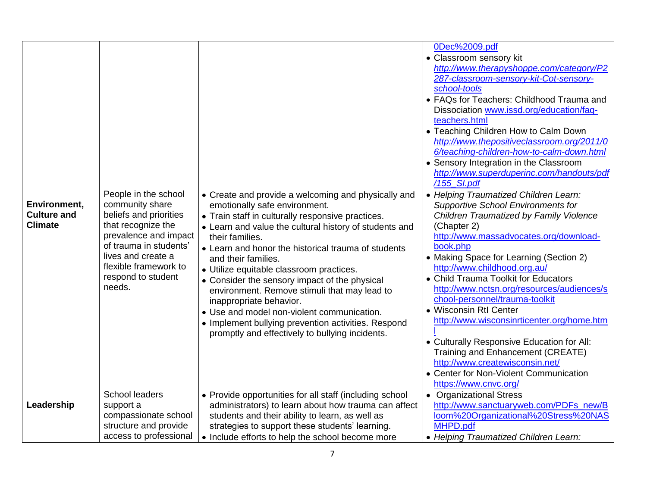| Environment,                         | People in the school<br>community share                                                                                                                                        | • Create and provide a welcoming and physically and<br>emotionally safe environment.                                                                                                                                                                                                                                                                                                                                                                                                                                                         | 0Dec%2009.pdf<br>• Classroom sensory kit<br>http://www.therapyshoppe.com/category/P2<br>287-classroom-sensory-kit-Cot-sensory-<br>school-tools<br>• FAQs for Teachers: Childhood Trauma and<br>Dissociation www.issd.org/education/faq-<br>teachers.html<br>• Teaching Children How to Calm Down<br>http://www.thepositiveclassroom.org/2011/0<br>6/teaching-children-how-to-calm-down.html<br>• Sensory Integration in the Classroom<br>http://www.superduperinc.com/handouts/pdf<br>/155 SI.pdf<br>• Helping Traumatized Children Learn:<br><b>Supportive School Environments for</b> |
|--------------------------------------|--------------------------------------------------------------------------------------------------------------------------------------------------------------------------------|----------------------------------------------------------------------------------------------------------------------------------------------------------------------------------------------------------------------------------------------------------------------------------------------------------------------------------------------------------------------------------------------------------------------------------------------------------------------------------------------------------------------------------------------|-----------------------------------------------------------------------------------------------------------------------------------------------------------------------------------------------------------------------------------------------------------------------------------------------------------------------------------------------------------------------------------------------------------------------------------------------------------------------------------------------------------------------------------------------------------------------------------------|
| <b>Culture and</b><br><b>Climate</b> | beliefs and priorities<br>that recognize the<br>prevalence and impact<br>of trauma in students'<br>lives and create a<br>flexible framework to<br>respond to student<br>needs. | • Train staff in culturally responsive practices.<br>• Learn and value the cultural history of students and<br>their families.<br>• Learn and honor the historical trauma of students<br>and their families.<br>· Utilize equitable classroom practices.<br>• Consider the sensory impact of the physical<br>environment. Remove stimuli that may lead to<br>inappropriate behavior.<br>• Use and model non-violent communication.<br>• Implement bullying prevention activities. Respond<br>promptly and effectively to bullying incidents. | Children Traumatized by Family Violence<br>(Chapter 2)<br>http://www.massadvocates.org/download-<br>book.php<br>• Making Space for Learning (Section 2)<br>http://www.childhood.org.au/<br>• Child Trauma Toolkit for Educators<br>http://www.nctsn.org/resources/audiences/s<br>chool-personnel/trauma-toolkit<br>• Wisconsin RtI Center<br>http://www.wisconsinrticenter.org/home.htm<br>• Culturally Responsive Education for All:<br>Training and Enhancement (CREATE)<br>http://www.createwisconsin.net/<br>• Center for Non-Violent Communication<br>https://www.cnvc.org/        |
| Leadership                           | School leaders<br>support a<br>compassionate school<br>structure and provide<br>access to professional                                                                         | • Provide opportunities for all staff (including school<br>administrators) to learn about how trauma can affect<br>students and their ability to learn, as well as<br>strategies to support these students' learning.<br>• Include efforts to help the school become more                                                                                                                                                                                                                                                                    | • Organizational Stress<br>http://www.sanctuaryweb.com/PDFs_new/B<br>loom%20Organizational%20Stress%20NAS<br>MHPD.pdf<br>• Helping Traumatized Children Learn:                                                                                                                                                                                                                                                                                                                                                                                                                          |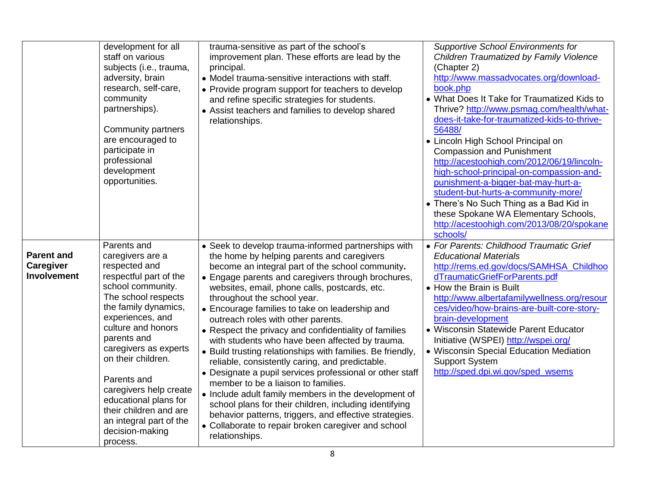|                                               | development for all<br>staff on various<br>subjects (i.e., trauma,<br>adversity, brain<br>research, self-care,<br>community<br>partnerships).<br>Community partners<br>are encouraged to<br>participate in<br>professional<br>development<br>opportunities.                                                                                                                                                  | trauma-sensitive as part of the school's<br>improvement plan. These efforts are lead by the<br>principal.<br>• Model trauma-sensitive interactions with staff.<br>• Provide program support for teachers to develop<br>and refine specific strategies for students.<br>• Assist teachers and families to develop shared<br>relationships.                                                                                                                                                                                                                                                                                                                                                                                                                                                                                                                                                                                                                                | Supportive School Environments for<br>Children Traumatized by Family Violence<br>(Chapter 2)<br>http://www.massadvocates.org/download-<br>book.php<br>• What Does It Take for Traumatized Kids to<br>Thrive? http://www.psmag.com/health/what-<br>does-it-take-for-traumatized-kids-to-thrive-<br>56488/<br>• Lincoln High School Principal on<br><b>Compassion and Punishment</b><br>http://acestoohigh.com/2012/06/19/lincoln-<br>high-school-principal-on-compassion-and-<br>punishment-a-bigger-bat-may-hurt-a-<br>student-but-hurts-a-community-more/<br>• There's No Such Thing as a Bad Kid in<br>these Spokane WA Elementary Schools,<br>http://acestoohigh.com/2013/08/20/spokane<br>schools/ |
|-----------------------------------------------|--------------------------------------------------------------------------------------------------------------------------------------------------------------------------------------------------------------------------------------------------------------------------------------------------------------------------------------------------------------------------------------------------------------|--------------------------------------------------------------------------------------------------------------------------------------------------------------------------------------------------------------------------------------------------------------------------------------------------------------------------------------------------------------------------------------------------------------------------------------------------------------------------------------------------------------------------------------------------------------------------------------------------------------------------------------------------------------------------------------------------------------------------------------------------------------------------------------------------------------------------------------------------------------------------------------------------------------------------------------------------------------------------|--------------------------------------------------------------------------------------------------------------------------------------------------------------------------------------------------------------------------------------------------------------------------------------------------------------------------------------------------------------------------------------------------------------------------------------------------------------------------------------------------------------------------------------------------------------------------------------------------------------------------------------------------------------------------------------------------------|
| <b>Parent and</b><br>Caregiver<br>Involvement | Parents and<br>caregivers are a<br>respected and<br>respectful part of the<br>school community.<br>The school respects<br>the family dynamics,<br>experiences, and<br>culture and honors<br>parents and<br>caregivers as experts<br>on their children.<br>Parents and<br>caregivers help create<br>educational plans for<br>their children and are<br>an integral part of the<br>decision-making<br>process. | • Seek to develop trauma-informed partnerships with<br>the home by helping parents and caregivers<br>become an integral part of the school community.<br>• Engage parents and caregivers through brochures,<br>websites, email, phone calls, postcards, etc.<br>throughout the school year.<br>• Encourage families to take on leadership and<br>outreach roles with other parents.<br>• Respect the privacy and confidentiality of families<br>with students who have been affected by trauma.<br>• Build trusting relationships with families. Be friendly,<br>reliable, consistently caring, and predictable.<br>• Designate a pupil services professional or other staff<br>member to be a liaison to families.<br>• Include adult family members in the development of<br>school plans for their children, including identifying<br>behavior patterns, triggers, and effective strategies.<br>• Collaborate to repair broken caregiver and school<br>relationships. | • For Parents: Childhood Traumatic Grief<br><b>Educational Materials</b><br>http://rems.ed.gov/docs/SAMHSA_Childhoo<br>dTraumaticGriefForParents.pdf<br>• How the Brain is Built<br>http://www.albertafamilywellness.org/resour<br>ces/video/how-brains-are-built-core-story-<br>brain-development<br>· Wisconsin Statewide Parent Educator<br>Initiative (WSPEI) http://wspei.org/<br>• Wisconsin Special Education Mediation<br><b>Support System</b><br>http://sped.dpi.wi.gov/sped_wsems                                                                                                                                                                                                           |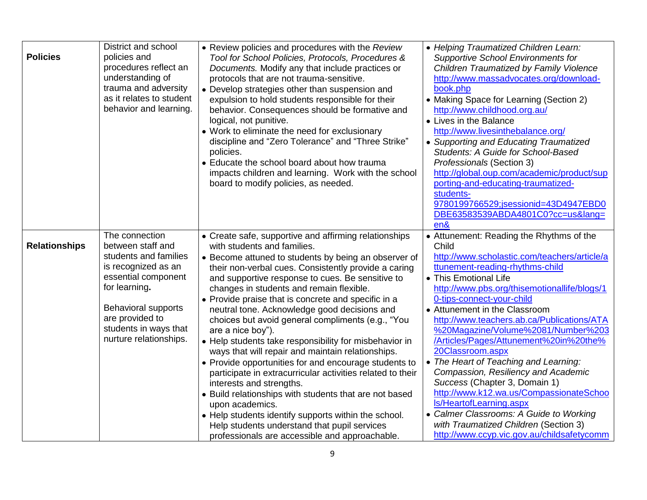| <b>Policies</b>      | District and school<br>policies and<br>procedures reflect an<br>understanding of<br>trauma and adversity<br>as it relates to student<br>behavior and learning.                                                                  | • Review policies and procedures with the Review<br>Tool for School Policies, Protocols, Procedures &<br>Documents. Modify any that include practices or<br>protocols that are not trauma-sensitive.<br>• Develop strategies other than suspension and<br>expulsion to hold students responsible for their<br>behavior. Consequences should be formative and<br>logical, not punitive.<br>• Work to eliminate the need for exclusionary<br>discipline and "Zero Tolerance" and "Three Strike"<br>policies.<br>• Educate the school board about how trauma<br>impacts children and learning. Work with the school<br>board to modify policies, as needed.                                                                                                                                                                                                                                                                                                                                       | • Helping Traumatized Children Learn:<br><b>Supportive School Environments for</b><br>Children Traumatized by Family Violence<br>http://www.massadvocates.org/download-<br>book.php<br>• Making Space for Learning (Section 2)<br>http://www.childhood.org.au/<br>• Lives in the Balance<br>http://www.livesinthebalance.org/<br>• Supporting and Educating Traumatized<br>Students: A Guide for School-Based<br>Professionals (Section 3)<br>http://global.oup.com/academic/product/sup<br>porting-and-educating-traumatized-<br>students-<br>9780199766529;jsessionid=43D4947EBD0<br>DBE63583539ABDA4801C0?cc=us⟨=<br>en&                                                                                                                            |
|----------------------|---------------------------------------------------------------------------------------------------------------------------------------------------------------------------------------------------------------------------------|------------------------------------------------------------------------------------------------------------------------------------------------------------------------------------------------------------------------------------------------------------------------------------------------------------------------------------------------------------------------------------------------------------------------------------------------------------------------------------------------------------------------------------------------------------------------------------------------------------------------------------------------------------------------------------------------------------------------------------------------------------------------------------------------------------------------------------------------------------------------------------------------------------------------------------------------------------------------------------------------|--------------------------------------------------------------------------------------------------------------------------------------------------------------------------------------------------------------------------------------------------------------------------------------------------------------------------------------------------------------------------------------------------------------------------------------------------------------------------------------------------------------------------------------------------------------------------------------------------------------------------------------------------------------------------------------------------------------------------------------------------------|
| <b>Relationships</b> | The connection<br>between staff and<br>students and families<br>is recognized as an<br>essential component<br>for learning.<br><b>Behavioral supports</b><br>are provided to<br>students in ways that<br>nurture relationships. | • Create safe, supportive and affirming relationships<br>with students and families.<br>• Become attuned to students by being an observer of<br>their non-verbal cues. Consistently provide a caring<br>and supportive response to cues. Be sensitive to<br>changes in students and remain flexible.<br>• Provide praise that is concrete and specific in a<br>neutral tone. Acknowledge good decisions and<br>choices but avoid general compliments (e.g., "You<br>are a nice boy").<br>• Help students take responsibility for misbehavior in<br>ways that will repair and maintain relationships.<br>• Provide opportunities for and encourage students to<br>participate in extracurricular activities related to their<br>interests and strengths.<br>• Build relationships with students that are not based<br>upon academics.<br>• Help students identify supports within the school.<br>Help students understand that pupil services<br>professionals are accessible and approachable. | • Attunement: Reading the Rhythms of the<br>Child<br>http://www.scholastic.com/teachers/article/a<br>ttunement-reading-rhythms-child<br>• This Emotional Life<br>http://www.pbs.org/thisemotionallife/blogs/1<br>0-tips-connect-your-child<br>• Attunement in the Classroom<br>http://www.teachers.ab.ca/Publications/ATA<br>%20Magazine/Volume%2081/Number%203<br>/Articles/Pages/Attunement%20in%20the%<br>20Classroom.aspx<br>• The Heart of Teaching and Learning:<br>Compassion, Resiliency and Academic<br>Success (Chapter 3, Domain 1)<br>http://www.k12.wa.us/CompassionateSchoo<br>Is/HeartofLearning.aspx<br>• Calmer Classrooms: A Guide to Working<br>with Traumatized Children (Section 3)<br>http://www.ccyp.vic.gov.au/childsafetycomm |